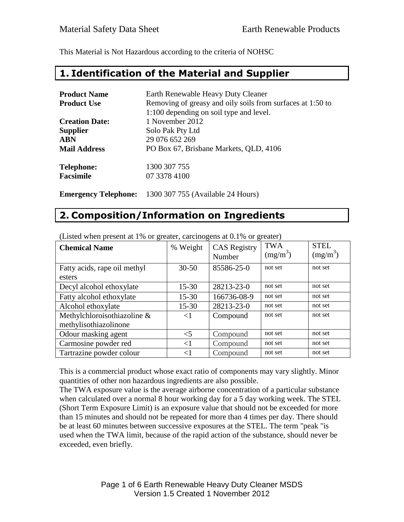This Material is Not Hazardous according to the criteria of NOHSC

#### **1. Identification of the Material and Supplier**

| <b>Product Name</b>   | Earth Renewable Heavy Duty Cleaner                         |  |
|-----------------------|------------------------------------------------------------|--|
| <b>Product Use</b>    | Removing of greasy and oily soils from surfaces at 1:50 to |  |
|                       | 1:100 depending on soil type and level.                    |  |
| <b>Creation Date:</b> | 1 November 2012                                            |  |
| <b>Supplier</b>       | Solo Pak Pty Ltd                                           |  |
| <b>ABN</b>            | 29 076 652 269                                             |  |
| <b>Mail Address</b>   | PO Box 67, Brisbane Markets, QLD, 4106                     |  |
| <b>Telephone:</b>     | 1300 307 755                                               |  |
| <b>Facsimile</b>      | 07 3378 4100                                               |  |
|                       |                                                            |  |

**Emergency Telephone:** 1300 307 755 (Available 24 Hours)

### **2. Composition/Information on Ingredients**

| <b>Chemical Name</b>         | % Weight  | <b>CAS</b> Registry<br>Number | <b>TWA</b><br>$(mg/m^3)$ | <b>STEL</b><br>$(mg/m^3)$ |
|------------------------------|-----------|-------------------------------|--------------------------|---------------------------|
| Fatty acids, rape oil methyl | $30 - 50$ | 85586-25-0                    | not set                  | not set                   |
| esters                       |           |                               |                          |                           |
| Decyl alcohol ethoxylate     | $15 - 30$ | 28213-23-0                    | not set                  | not set                   |
| Fatty alcohol ethoxylate     | $15 - 30$ | 166736-08-9                   | not set                  | not set                   |
| Alcohol ethoxylate           | $15 - 30$ | 28213-23-0                    | not set                  | not set                   |
| Methylchloroisothiazoline &  | $\leq$ 1  | Compound                      | not set                  | not set                   |
| methylisothiazolinone        |           |                               |                          |                           |
| Odour masking agent          | $<$ 5     | Compound                      | not set                  | not set                   |
| Carmosine powder red         | $<$ 1     | Compound                      | not set                  | not set                   |
| Tartrazine powder colour     | ${<}1$    | Compound                      | not set                  | not set                   |

(Listed when present at 1% or greater, carcinogens at 0.1% or greater)

This is a commercial product whose exact ratio of components may vary slightly. Minor quantities of other non hazardous ingredients are also possible.

The TWA exposure value is the average airborne concentration of a particular substance when calculated over a normal 8 hour working day for a 5 day working week. The STEL (Short Term Exposure Limit) is an exposure value that should not be exceeded for more than 15 minutes and should not be repeated for more than 4 times per day. There should be at least 60 minutes between successive exposures at the STEL. The term "peak "is used when the TWA limit, because of the rapid action of the substance, should never be exceeded, even briefly.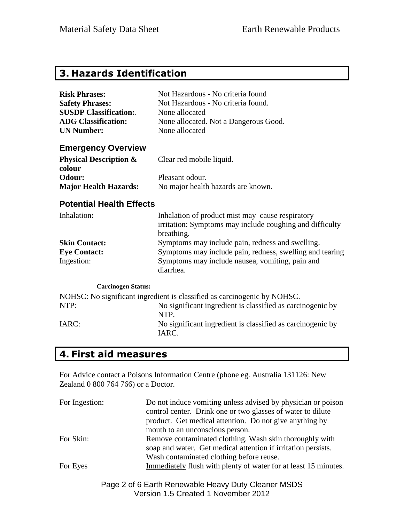## **3. Hazards Identification**

| <b>Risk Phrases:</b>                        | Not Hazardous - No criteria found                                                                                          |
|---------------------------------------------|----------------------------------------------------------------------------------------------------------------------------|
| <b>Safety Phrases:</b>                      | Not Hazardous - No criteria found.                                                                                         |
| <b>SUSDP Classification:.</b>               | None allocated                                                                                                             |
| <b>ADG Classification:</b>                  | None allocated. Not a Dangerous Good.                                                                                      |
| <b>UN Number:</b>                           | None allocated                                                                                                             |
| <b>Emergency Overview</b>                   |                                                                                                                            |
| <b>Physical Description &amp;</b><br>colour | Clear red mobile liquid.                                                                                                   |
| Odour:                                      | Pleasant odour.                                                                                                            |
| <b>Major Health Hazards:</b>                | No major health hazards are known.                                                                                         |
| <b>Potential Health Effects</b>             |                                                                                                                            |
| Inhalation:                                 | Inhalation of product mist may cause respiratory<br>irritation: Symptoms may include coughing and difficulty<br>breathing. |
| <b>Skin Contact:</b>                        | Symptoms may include pain, redness and swelling.                                                                           |
| <b>Eye Contact:</b>                         | Symptoms may include pain, redness, swelling and tearing                                                                   |
| Ingestion:                                  | Symptoms may include nausea, vomiting, pain and<br>diarrhea.                                                               |
| <b>Carcinogen Status:</b>                   |                                                                                                                            |
|                                             | NOHSC: No significant ingredient is classified as carcinogenic by NOHSC.                                                   |
| NTP:                                        | No significant ingredient is classified as carcinogenic by<br>NTP.                                                         |
| IARC:                                       | No significant ingredient is classified as carcinogenic by<br>IARC.                                                        |

# **4. First aid measures**

For Advice contact a Poisons Information Centre (phone eg. Australia 131126: New Zealand 0 800 764 766) or a Doctor.

| For Ingestion: | Do not induce vomiting unless advised by physician or poison<br>control center. Drink one or two glasses of water to dilute<br>product. Get medical attention. Do not give anything by<br>mouth to an unconscious person. |
|----------------|---------------------------------------------------------------------------------------------------------------------------------------------------------------------------------------------------------------------------|
| For Skin:      | Remove contaminated clothing. Wash skin thoroughly with<br>soap and water. Get medical attention if irritation persists.<br>Wash contaminated clothing before reuse.                                                      |
| For Eyes       | Immediately flush with plenty of water for at least 15 minutes.                                                                                                                                                           |

Page 2 of 6 Earth Renewable Heavy Duty Cleaner MSDS Version 1.5 Created 1 November 2012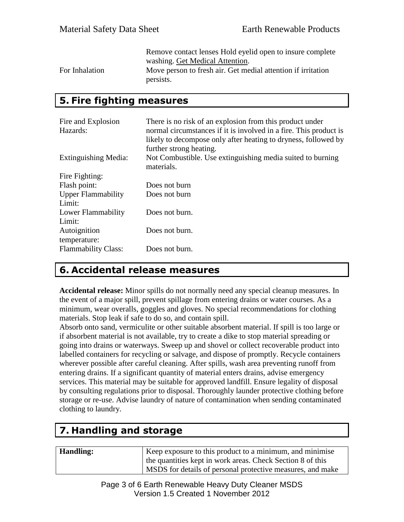Remove contact lenses Hold eyelid open to insure complete washing. Get Medical Attention. For Inhalation Move person to fresh air. Get medial attention if irritation persists.

### **5. Fire fighting measures**

| Fire and Explosion         | There is no risk of an explosion from this product under                 |
|----------------------------|--------------------------------------------------------------------------|
| Hazards:                   | normal circumstances if it is involved in a fire. This product is        |
|                            | likely to decompose only after heating to dryness, followed by           |
|                            | further strong heating.                                                  |
| Extinguishing Media:       | Not Combustible. Use extinguishing media suited to burning<br>materials. |
| Fire Fighting:             |                                                                          |
| Flash point:               | Does not burn                                                            |
| <b>Upper Flammability</b>  | Does not burn                                                            |
| Limit:                     |                                                                          |
| Lower Flammability         | Does not burn.                                                           |
| Limit:                     |                                                                          |
| Autoignition               | Does not burn.                                                           |
| temperature:               |                                                                          |
| <b>Flammability Class:</b> | Does not burn.                                                           |

### **6. Accidental release measures**

**Accidental release:** Minor spills do not normally need any special cleanup measures. In the event of a major spill, prevent spillage from entering drains or water courses. As a minimum, wear overalls, goggles and gloves. No special recommendations for clothing materials. Stop leak if safe to do so, and contain spill.

Absorb onto sand, vermiculite or other suitable absorbent material. If spill is too large or if absorbent material is not available, try to create a dike to stop material spreading or going into drains or waterways. Sweep up and shovel or collect recoverable product into labelled containers for recycling or salvage, and dispose of promptly. Recycle containers wherever possible after careful cleaning. After spills, wash area preventing runoff from entering drains. If a significant quantity of material enters drains, advise emergency services. This material may be suitable for approved landfill. Ensure legality of disposal by consulting regulations prior to disposal. Thoroughly launder protective clothing before storage or re-use. Advise laundry of nature of contamination when sending contaminated clothing to laundry.

# **7. Handling and storage**

| <b>Handling:</b> | Keep exposure to this product to a minimum, and minimise   |
|------------------|------------------------------------------------------------|
|                  | the quantities kept in work areas. Check Section 8 of this |
|                  | MSDS for details of personal protective measures, and make |

Page 3 of 6 Earth Renewable Heavy Duty Cleaner MSDS Version 1.5 Created 1 November 2012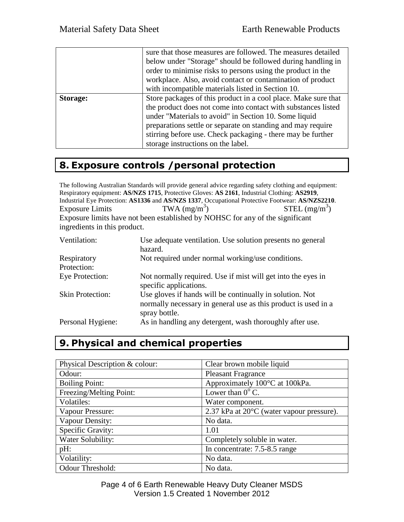|          | sure that those measures are followed. The measures detailed<br>below under "Storage" should be followed during handling in<br>order to minimise risks to persons using the product in the<br>workplace. Also, avoid contact or contamination of product<br>with incompatible materials listed in Section 10.                                                |
|----------|--------------------------------------------------------------------------------------------------------------------------------------------------------------------------------------------------------------------------------------------------------------------------------------------------------------------------------------------------------------|
| Storage: | Store packages of this product in a cool place. Make sure that<br>the product does not come into contact with substances listed<br>under "Materials to avoid" in Section 10. Some liquid<br>preparations settle or separate on standing and may require<br>stirring before use. Check packaging - there may be further<br>storage instructions on the label. |

## **8. Exposure controls /personal protection**

The following Australian Standards will provide general advice regarding safety clothing and equipment: Respiratory equipment: **AS/NZS 1715**, Protective Gloves: **AS 2161**, Industrial Clothing: **AS2919**, Industrial Eye Protection: **AS1336** and **AS/NZS 1337**, Occupational Protective Footwear: **AS/NZS2210**. Exposure Limits TWA  $(mg/m<sup>3</sup>)$  $STEL (mg/m<sup>3</sup>)$ Exposure limits have not been established by NOHSC for any of the significant ingredients in this product.

| Ventilation:            | Use adequate ventilation. Use solution presents no general<br>hazard.                                                                       |
|-------------------------|---------------------------------------------------------------------------------------------------------------------------------------------|
| Respiratory             | Not required under normal working/use conditions.                                                                                           |
| Protection:             |                                                                                                                                             |
| Eye Protection:         | Not normally required. Use if mist will get into the eyes in<br>specific applications.                                                      |
| <b>Skin Protection:</b> | Use gloves if hands will be continually in solution. Not<br>normally necessary in general use as this product is used in a<br>spray bottle. |
| Personal Hygiene:       | As in handling any detergent, wash thoroughly after use.                                                                                    |

# **9. Physical and chemical properties**

| Physical Description & colour: | Clear brown mobile liquid                 |
|--------------------------------|-------------------------------------------|
| Odour:                         | <b>Pleasant Fragrance</b>                 |
| <b>Boiling Point:</b>          | Approximately 100°C at 100kPa.            |
| Freezing/Melting Point:        | Lower than $0^{\circ}$ C.                 |
| Volatiles:                     | Water component.                          |
| Vapour Pressure:               | 2.37 kPa at 20°C (water vapour pressure). |
| Vapour Density:                | No data.                                  |
| Specific Gravity:              | 1.01                                      |
| Water Solubility:              | Completely soluble in water.              |
| pH:                            | In concentrate: 7.5-8.5 range             |
| Volatility:                    | No data.                                  |
| Odour Threshold:               | No data.                                  |

Page 4 of 6 Earth Renewable Heavy Duty Cleaner MSDS Version 1.5 Created 1 November 2012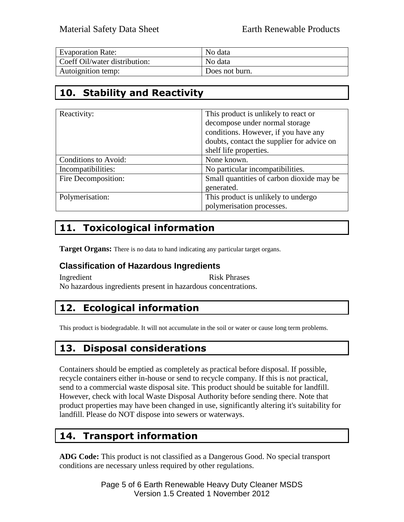| <b>Evaporation Rate:</b>      | No data        |
|-------------------------------|----------------|
| Coeff Oil/water distribution: | No data        |
| Autoignition temp:            | Does not burn. |

# **10. Stability and Reactivity**

| Reactivity:          | This product is unlikely to react or       |
|----------------------|--------------------------------------------|
|                      | decompose under normal storage             |
|                      | conditions. However, if you have any       |
|                      | doubts, contact the supplier for advice on |
|                      | shelf life properties.                     |
| Conditions to Avoid: | None known.                                |
| Incompatibilities:   | No particular incompatibilities.           |
| Fire Decomposition:  | Small quantities of carbon dioxide may be  |
|                      | generated.                                 |
| Polymerisation:      | This product is unlikely to undergo        |
|                      | polymerisation processes.                  |

# **11. Toxicological information**

**Target Organs:** There is no data to hand indicating any particular target organs.

#### **Classification of Hazardous Ingredients**

Ingredient Risk Phrases No hazardous ingredients present in hazardous concentrations.

# **12. Ecological information**

This product is biodegradable. It will not accumulate in the soil or water or cause long term problems.

## **13. Disposal considerations**

Containers should be emptied as completely as practical before disposal. If possible, recycle containers either in-house or send to recycle company. If this is not practical, send to a commercial waste disposal site. This product should be suitable for landfill. However, check with local Waste Disposal Authority before sending there. Note that product properties may have been changed in use, significantly altering it's suitability for landfill. Please do NOT dispose into sewers or waterways.

## **14. Transport information**

**ADG Code:** This product is not classified as a Dangerous Good. No special transport conditions are necessary unless required by other regulations.

> Page 5 of 6 Earth Renewable Heavy Duty Cleaner MSDS Version 1.5 Created 1 November 2012